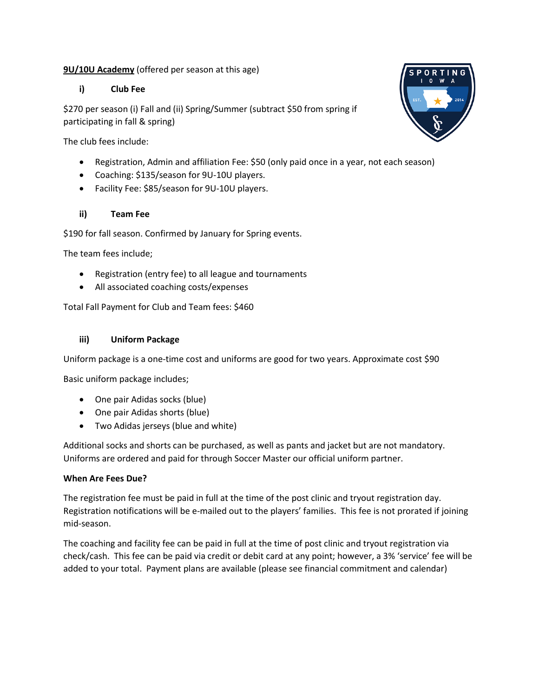# **9U/10U Academy** (offered per season at this age)

### **i) Club Fee**

\$270 per season (i) Fall and (ii) Spring/Summer (subtract \$50 from spring if participating in fall & spring)

The club fees include:

- Registration, Admin and affiliation Fee: \$50 (only paid once in a year, not each season)
- Coaching: \$135/season for 9U-10U players.
- Facility Fee: \$85/season for 9U-10U players.

#### **ii) Team Fee**

\$190 for fall season. Confirmed by January for Spring events.

The team fees include;

- Registration (entry fee) to all league and tournaments
- All associated coaching costs/expenses

Total Fall Payment for Club and Team fees: \$460

#### **iii) Uniform Package**

Uniform package is a one-time cost and uniforms are good for two years. Approximate cost \$90

Basic uniform package includes;

- One pair Adidas socks (blue)
- One pair Adidas shorts (blue)
- Two Adidas jerseys (blue and white)

Additional socks and shorts can be purchased, as well as pants and jacket but are not mandatory. Uniforms are ordered and paid for through Soccer Master our official uniform partner.

#### **When Are Fees Due?**

The registration fee must be paid in full at the time of the post clinic and tryout registration day. Registration notifications will be e-mailed out to the players' families. This fee is not prorated if joining mid-season.

The coaching and facility fee can be paid in full at the time of post clinic and tryout registration via check/cash. This fee can be paid via credit or debit card at any point; however, a 3% 'service' fee will be added to your total. Payment plans are available (please see financial commitment and calendar)

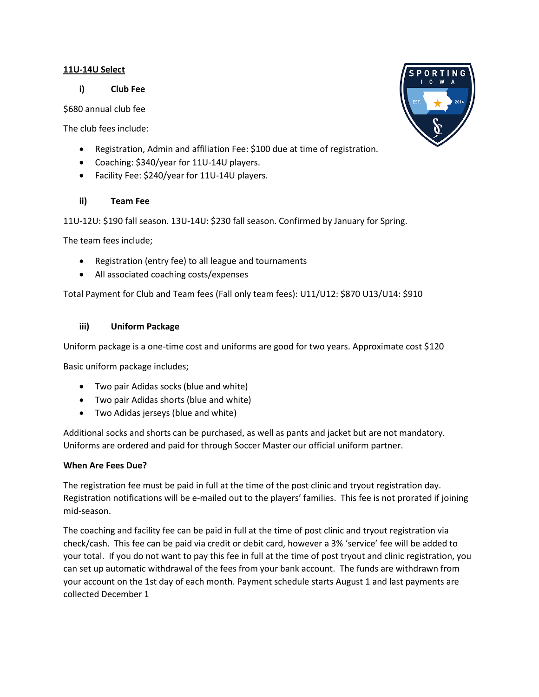#### **11U-14U Select**

**i) Club Fee**

\$680 annual club fee

The club fees include:

- Registration, Admin and affiliation Fee: \$100 due at time of registration.
- Coaching: \$340/year for 11U-14U players.
- Facility Fee: \$240/year for 11U-14U players.

# **ii) Team Fee**

11U-12U: \$190 fall season. 13U-14U: \$230 fall season. Confirmed by January for Spring.

The team fees include;

- Registration (entry fee) to all league and tournaments
- All associated coaching costs/expenses

Total Payment for Club and Team fees (Fall only team fees): U11/U12: \$870 U13/U14: \$910

# **iii) Uniform Package**

Uniform package is a one-time cost and uniforms are good for two years. Approximate cost \$120

Basic uniform package includes;

- Two pair Adidas socks (blue and white)
- Two pair Adidas shorts (blue and white)
- Two Adidas jerseys (blue and white)

Additional socks and shorts can be purchased, as well as pants and jacket but are not mandatory. Uniforms are ordered and paid for through Soccer Master our official uniform partner.

# **When Are Fees Due?**

The registration fee must be paid in full at the time of the post clinic and tryout registration day. Registration notifications will be e-mailed out to the players' families. This fee is not prorated if joining mid-season.

The coaching and facility fee can be paid in full at the time of post clinic and tryout registration via check/cash. This fee can be paid via credit or debit card, however a 3% 'service' fee will be added to your total. If you do not want to pay this fee in full at the time of post tryout and clinic registration, you can set up automatic withdrawal of the fees from your bank account. The funds are withdrawn from your account on the 1st day of each month. Payment schedule starts August 1 and last payments are collected December 1